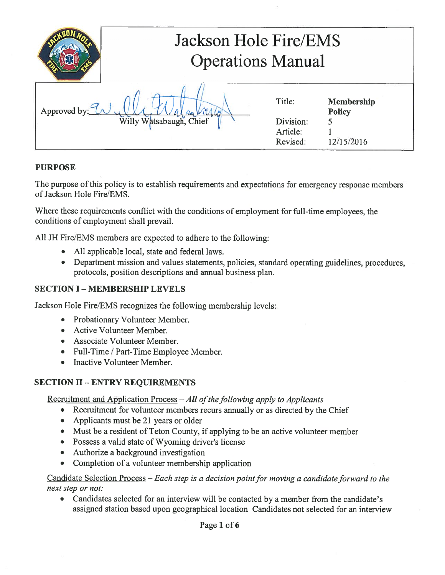| Jackson Hole Fire/EMS<br><b>Operations Manual</b> |                         |           |                                    |
|---------------------------------------------------|-------------------------|-----------|------------------------------------|
| Approved by: $\mathcal{U}$                        |                         | Title:    | <b>Membership</b><br><b>Policy</b> |
|                                                   | Willy Watsabaugh, Chief | Division: |                                    |
|                                                   |                         | Article:  |                                    |
|                                                   |                         | Revised:  | 12/15/2016                         |

## PURPOSE

The purpose of this policy is to establish requirements and expectations for emergency response members ofJackson Hole Fire/EMS.

Where these requirements conflict with the conditions of employment for full-time employees, the conditions of employment shall prevail.

All JH Fire/EMS members are expected to adhere to the following:

- All applicable local, state and federal laws.
- Department mission and values statements, policies, standard operating guidelines, procedures, protocols, position descriptions and annual business plan.

## **SECTION I - MEMBERSHIP LEVELS**

Jackson Hole Fire/EMS recognizes the following membership levels:

- Probationary Volunteer Member.
- Active Volunteer Member.
- Associate Volunteer Member.
- Full-Time / Part-Time Employee Member.
- Inactive Volunteer Member.

## SECTION II- ENTRY REQUIREMENTS

Recruitment and Application Process  $-All$  of the following apply to Applicants

- Recruitment for volunteer members recurs annually or as directed by the Chief
- Applicants must be 21 years or older
- Must be a resident of Teton County, if applying to be an active volunteer member
- Possess a valid state of Wyoming driver's license
- Authorize a background investigation
- Completion of a volunteer membership application

Candidate Selection Process – Each step is a decision point for moving a candidate forward to the next step or not:

• Candidates selected for an interview will be contacted by a member from the candidate's assigned station based upon geographical location Candidates not selected for an interview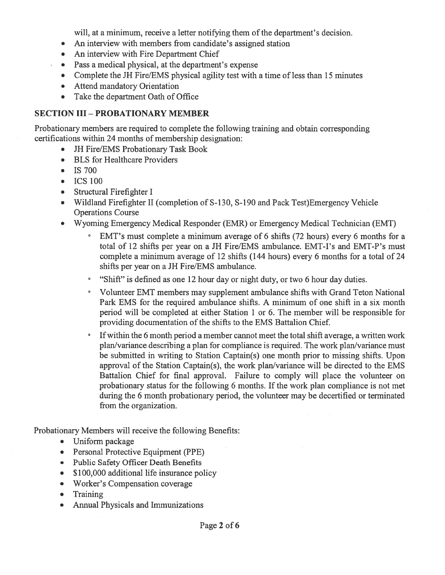will, at a minimum, receive a letter notifying them of the department's decision.

- An interview with members from candidate's assigned station
- An interview with Fire Department Chief
- Pass a medical physical, at the department's expense
- Complete the JH Fire/EMS physical agility test with a time of less than 15 minutes
- Attend mandatory Orientation
- Take the department Oath of Office

### SECTION III -PROBATIONARY MEMBER

Probationary members are required to complete the following training and obtain corresponding certifications within 24 months of membership designation:

- JH Fire/EMS Probationary Task Book
- BLS for Healthcare Providers
- IS 700
- ICS 100
- Structural Firefighter I
- Wildland Firefighter II (completion of S-130, S-190 and Pack Test)Emergency Vehicle Operations Course
- Wyoming Emergency Medical Responder (EMR) or Emergency Medical Technician (EMT)
	- EMT's must complete a minimum average of 6 shifts (72 hours) every 6 months for a total of 12 shifts per year on a JH Fire/EMS ambulance. EMT-I's and EMT-P's must complete a minimum average of 12 shifts (144 hours) every 6 months for a total of 24 shifts per year on a JH Fire/EMS ambulance.
	- <sup>o</sup> "Shift" is defined as one 12 hour day or night duty, or two 6 hour day duties.
	- Volunteer EMT members may supplement ambulance shifts with Grand Teton National Park EMS for the required ambulance shifts. A minimum of one shift in a six month period will be completed at either Station <sup>1</sup> or 6. The member will be responsible for providing documentation of the shifts to the EMS Battalion Chief.
	- ° Ifwithin the 6 month period a member cannot meet the total shift average, a written work plan/variance describing a plan for compliance is required. The work plan/variance must be submitted in writing to Station Captain(s) one month prior to missing shifts. Upon approval of the Station Captain(s), the work plan/variance will be directed to the EMS Battalion Chief for final approval. Failure to comply will place the volunteer on probationary status for the following 6 months. If the work plan compliance is not met during the 6 month probationary period, the volunteer may be decertified or terminated from the organization.

Probationary Members will receive the following Benefits:

- Uniform package
- Personal Protective Equipment (PPE)
- Public Safety Officer Death Benefits
- \$100,000 additional life insurance policy
- Worker's Compensation coverage
- Training
- Annual Physicals and Immunizations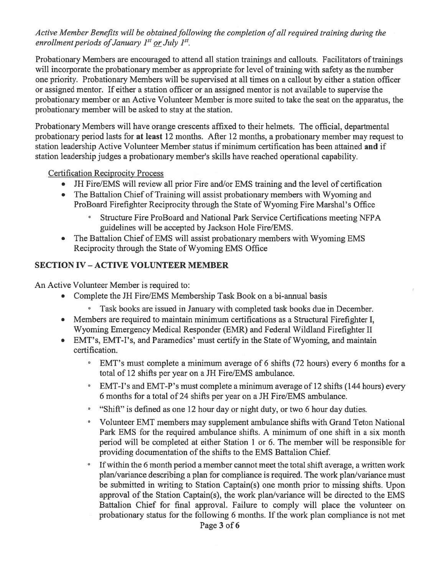### Active Member Benefits will be obtained following the completion of all required training during the enrollment periods of January  $I^{st}$  or July  $I^{st}$ .

Probationary Members are encouraged to attend all station trainings and callouts. Facilitators of trainings will incorporate the probationary member as appropriate for level of training with safety as the number one priority. Probationary Members will be supervised at all times on a callout by either a station officer or assigned mentor. If either a station officer or an assigned mentor is not available to supervise the probationary member or an Active Volunteer Member is more suited to take the seat on the apparatus, the probationary member will be asked to stay at the station.

Probationary Members will have orange crescents affixed to their helmets. The official, departmental probationary period lasts for at least 12 months. After 12 months, a probationary member may request to station leadership Active Volunteer Member status if minimum certification has been attained and if station leadership judges a probationary member's skills have reached operational capability.

Certification Reciprocity Process

- JH Fire/EMS will review all prior Fire and/or EMS training and the level of certification
- The Battalion Chief of Training will assist probationary members with Wyoming and ProBoard Firefighter Reciprocity through the State of Wyoming Fire Marshal's Office
	- Structure Fire ProBoard and National Park Service Certifications meeting NFPA guidelines will be accepted by Jackson Hole Fire/EMS.
- The Battalion Chief of EMS will assist probationary members with Wyoming EMS Reciprocity through the State of Wyoming EMS Office

### **SECTION IV - ACTIVE VOLUNTEER MEMBER**

An Active Volunteer Member is required to:

- Complete the JH Fire/EMS Membership Task Book on a bi-annual basis
	- ° Task books are issued in January with completed task books due in December.
- Members are required to maintain minimum certifications as a Structural Firefighter I, Wyoming Emergency Medical Responder (EMR) and Federal Wildland Firefighter II
- EMT's, EMT-I's, and Paramedics' must certify in the State of Wyoming, and maintain certification.
	- ° EMT's must complete a minimum average of 6 shifts (72 hours) every 6 months for a total of 12 shifts per year on a JH Fire/EMS ambulance.
	- EMT-I's and EMT-P's must complete a minimum average of 12 shifts (144 hours) every 6 months for a total of 24 shifts per year on a JH Fire/EMS ambulance.
	- "Shift" is defined as one 12 hour day or night duty, or two 6 hour day duties.
	- <sup>o</sup> Volunteer EMT members may supplement ambulance shifts with Grand Teton National Park EMS for the required ambulance shifts. A minimum of one shift in a six month period will be completed at either Station <sup>1</sup> or 6. The member will be responsible for providing documentation of the shifts to the EMS Battalion Chief.
	- <sup>o</sup> If within the 6 month period a member cannot meet the total shift average, a written work plan/variance describing a plan for compliance is required. The work plan/variance must be submitted in writing to Station Captain(s) one month prior to missing shifts. Upon approval of the Station Captain(s), the work plan/variance will be directed to the EMS Battalion Chief for final approval. Failure to comply will place the volunteer on probationary status for the following 6 months. If the work plan compliance is not met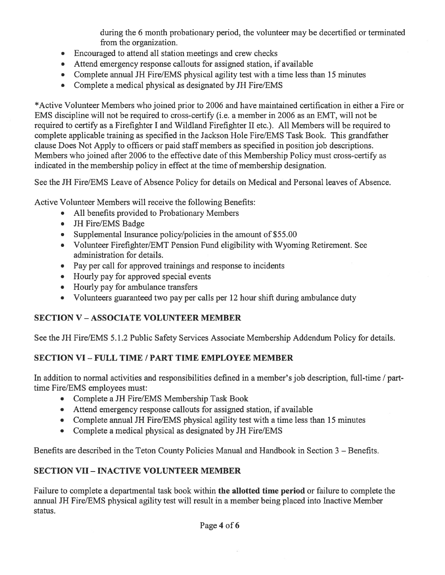during the 6 month probationary period, the volunteer may be decertified or terminated from the organization.

- Encouraged to attend all station meetings and crew checks
- Attend emergency response callouts for assigned station, if available
- Complete annual JH Fire/EMS physical agility test with a time less than 15 minutes
- Complete a medical physical as designated by JH Fire/EMS

\*Active Volunteer Members who joined prior to 2006 and have maintained certification in either a Fire or EMS discipline will not be required to cross-certify (i.e. a member in 2006 as an EMT, will not be required to certify as a Firefighter I and Wildland Firefighter II etc.). All Members will be required to complete applicable training as specified in the Jackson Hole Fire/EMS Task Book. This grandfather clause Does Not Apply to officers or paid staffmembers as specified in position job descriptions. Members who joined after 2006 to the effective date of this Membership Policy must cross-certify as indicated in the membership policy in effect at the time of membership designation.

See the JH Fire/EMS Leave of Absence Policy for details on Medical and Personal leaves of Absence.

Active Volunteer Members will receive the following Benefits:

- All benefits provided to Probationary Members
- JH Fire/EMS Badge
- Supplemental Insurance policy/policies in the amount of \$55.00
- Volunteer Firefighter/EMT Pension Fund eligibility with Wyoming Retirement. See administration for details.
- Pay per call for approved trainings and response to incidents
- Hourly pay for approved special events
- Hourly pay for ambulance transfers
- Volunteers guaranteed two pay per calls per 12 hour shift during ambulance duty

# SECTION V - ASSOCIATE VOLUNTEER MEMBER

See the JH Fire/EMS 5.1.2 Public Safety Services Associate Membership Addendum Policy for details.

## SECTION VI- FULL TIME / PART TIME EMPLOYEE MEMBER

In addition to normal activities and responsibilities defined in a member's job description, full-time / parttime Fire/EMS employees must:

- Complete a JH Fire/EMS Membership Task Book
- Attend emergency response callouts for assigned station, if available
- Complete annual JH Fire/EMS physical agility test with a time less than 15 minutes
- Complete a medical physical as designated by JH Fire/EMS

Benefits are described in the Teton County Policies Manual and Handbook in Section 3 — Benefits.

## SECTION VII- INACTIVE VOLUNTEER MEMBER

Failure to complete a departmental task book within the allotted time period or failure to complete the annual JH Fire/EMS physical agility test will result in a member being placed into Inactive Member status.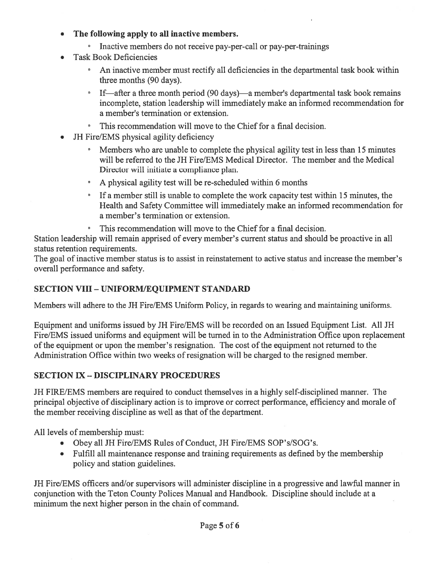- The following apply to all inactive members.
	- $\cdot$  Inactive members do not receive pay-per-call or pay-per-trainings
- Task Book Deficiencies
	- An inactive member must rectify all deficiencies in the departmental task book within three months (90 days).
	- <sup>o</sup> If—after a three month period (90 days)—a member's departmental task book remains incomplete, station leadership will immediately make an informed recommendation for a member's termination or extension.
	- This recommendation will move to the Chief for a final decision.
- JH Fire/EMS physical agility deficiency
	- ° Members who are unable to complete the physical agility test in less than 15 minutes will be referred to the JH Fire/EMS Medical Director. The member and the Medical Director will initiate a compliance plan.
	- <sup>0</sup> A physical agility test will be re-scheduled within 6 months
	- ° If a member still is unable to complete the work capacity test within 15 minutes, the Health and Safety Committee will immediately make an informed recommendation for a member's termination or extension.
	- ° This recommendation will move to the Chief for a final decision.

Station leadership will remain apprised of every member's current status and should be proactive in all status retention requirements.

The goal of inactive member status is to assist in reinstatement to active status and increase the member's overall performance and safety.

## SECTION VIII- UNIFORM/EQUIPMENT STANDARD

Members will adhere to the JH Fire/EMS Uniform Policy, in regards to wearing and maintaining uniforms.

Equipment and uniforms issued by JH Fire/EMS will be recorded on an Issued Equipment List. All JH Fire/EMS issued uniforms and equipment will be turned in to the Administration Office upon replacement of the equipment or upon the member's resignation. The cost of the equipment not returned to the Administration Office within two weeks of resignation will be charged to the resigned member.

## SECTION IX - DISCIPLINARY PROCEDURES

JH FIRE/EMS members are required to conduct themselves in a highly self-disciplined manner. The principal objective of disciplinary action is to improve or correct performance, efficiency and morale of the member receiving discipline as well as that of the department.

All levels of membership must:

- Obey all JH Fire/EMS Rules of Conduct, JH Fire/EMS SOP's/SOG's.
- Fulfill all maintenance response and training requirements as defined by the membership policy and station guidelines.

JH Fire/EMS officers and/or supervisors will administer discipline in a progressive and lawful manner in conjunction with the Teton County Polices Manual and Handbook. Discipline should include at a minimum the next higher person in the chain of command.